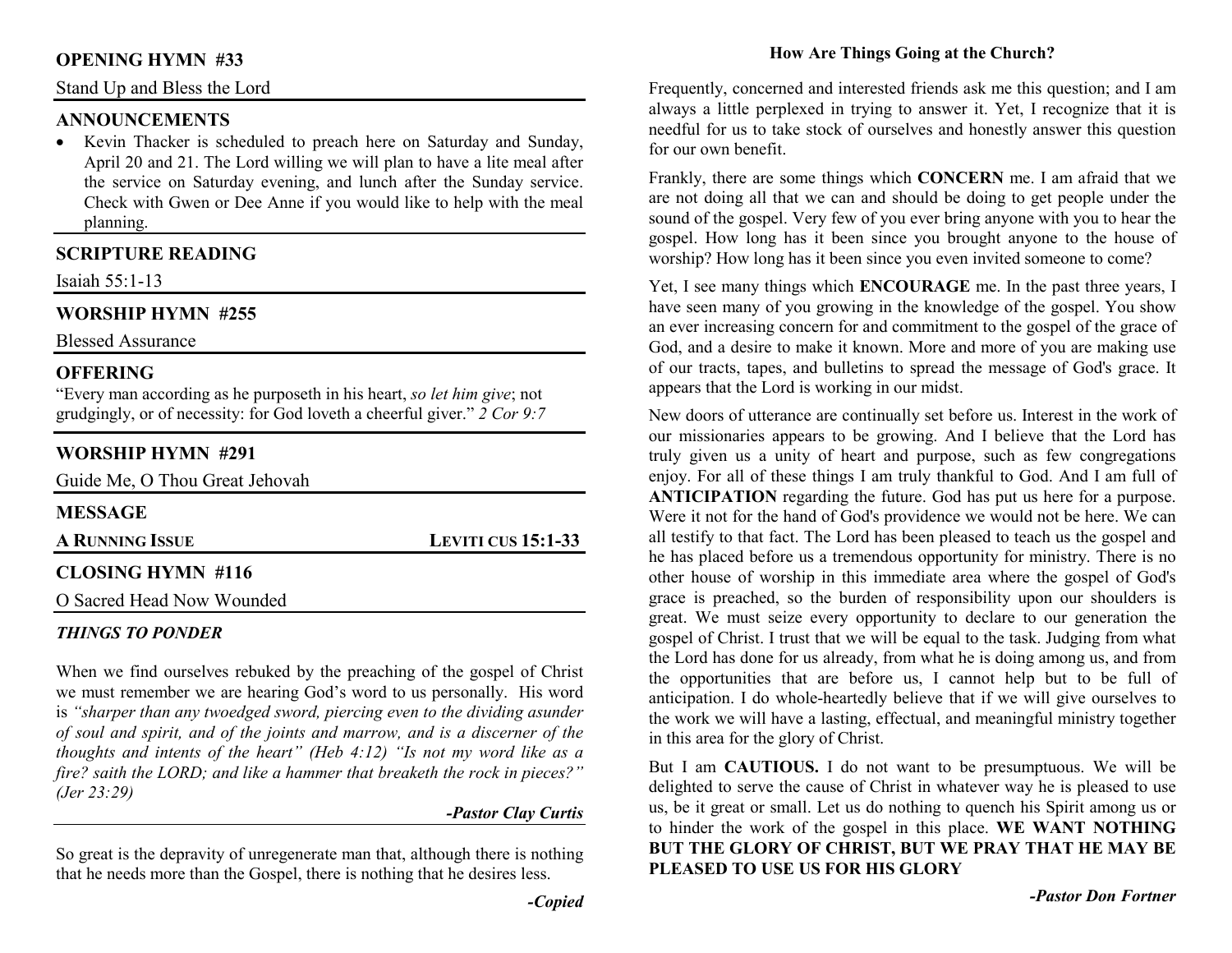#### **OPENING HYMN #33**

Stand Up and Bless the Lord

#### **ANNOUNCEMENTS**

 • Kevin Thacker is scheduled to preach here on Saturday and Sunday, April 20 and 21. The Lord willing we will plan to have a lite meal after the service on Saturday evening, and lunch after the Sunday service. Check with Gwen or Dee Anne if you would like to help with the meal planning.

### **SCRIPTURE READING**

Isaiah 55:1-13

### **WORSHIP HYMN #255**

Blessed Assurance

#### **OFFERING**

 "Every man according as he purposeth in his heart, *so let him give*; not grudgingly, or of necessity: for God loveth a cheerful giver." *2 Cor 9:7*

### **WORSHIP HYMN #291**

Guide Me, O Thou Great Jehovah

| <b>MESSAGE</b>            |                           |
|---------------------------|---------------------------|
| A RUNNING ISSUE           | <b>LEVITI CUS 15:1-33</b> |
| CLOSING HYMN #116         |                           |
| O Sacred Head Now Wounded |                           |

#### *THINGS TO PONDER*

When we find ourselves rebuked by the preaching of the gospel of Christ we must remember we are hearing God's word to us personally. His word is *"sharper than any twoedged sword, piercing even to the dividing asunder of soul and spirit, and of the joints and marrow, and is a discerner of the thoughts and intents of the heart" (Heb 4:12) "Is not my word like as a fire? saith the LORD; and like a hammer that breaketh the rock in pieces?" (Jer 23:29)* 

#### *-Pastor Clay Curtis*

So great is the depravity of unregenerate man that, although there is nothing that he needs more than the Gospel, there is nothing that he desires less.

Frequently, concerned and interested friends ask me this question; and I am always a little perplexed in trying to answer it. Yet, I recognize that it is needful for us to take stock of ourselves and honestly answer this question for our own benefit.

Frankly, there are some things which **CONCERN** me. I am afraid that we are not doing all that we can and should be doing to get people under the sound of the gospel. Very few of you ever bring anyone with you to hear the gospel. How long has it been since you brought anyone to the house of worship? How long has it been since you even invited someone to come?

Yet, I see many things which **ENCOURAGE** me. In the past three years, I have seen many of you growing in the knowledge of the gospel. You show an ever increasing concern for and commitment to the gospel of the grace of God, and a desire to make it known. More and more of you are making use of our tracts, tapes, and bulletins to spread the message of God's grace. It appears that the Lord is working in our midst.

New doors of utterance are continually set before us. Interest in the work of our missionaries appears to be growing. And I believe that the Lord has truly given us a unity of heart and purpose, such as few congregations enjoy. For all of these things I am truly thankful to God. And I am full of **ANTICIPATION** regarding the future. God has put us here for a purpose. Were it not for the hand of God's providence we would not be here. We can all testify to that fact. The Lord has been pleased to teach us the gospel and he has placed before us a tremendous opportunity for ministry. There is no other house of worship in this immediate area where the gospel of God's grace is preached, so the burden of responsibility upon our shoulders is great. We must seize every opportunity to declare to our generation the gospel of Christ. I trust that we will be equal to the task. Judging from what the Lord has done for us already, from what he is doing among us, and from the opportunities that are before us, I cannot help but to be full of anticipation. I do whole-heartedly believe that if we will give ourselves to the work we will have a lasting, effectual, and meaningful ministry together in this area for the glory of Christ.

But I am **CAUTIOUS.** I do not want to be presumptuous. We will be delighted to serve the cause of Christ in whatever way he is pleased to use us, be it great or small. Let us do nothing to quench his Spirit among us or to hinder the work of the gospel in this place. **WE WANT NOTHING BUT THE GLORY OF CHRIST, BUT WE PRAY THAT HE MAY BE PLEASED TO USE US FOR HIS GLORY**